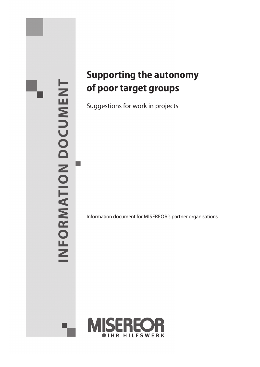# **ion document**INFORMATION DOCUMENT  **Informat**

# **Supporting the autonomy of poor target groups**

Suggestions for work in projects

Information document for MISEREOR's partner organisations

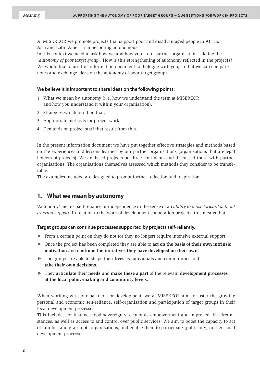At MISEREOR we promote projects that support poor and disadvantaged people in Africa, Asia and Latin America in becoming autonomous.

In this context we need to ask how we and how you – our partner organisation – define the *"autonomy of poor target group"*. How is this strengthening of autonomy reflected in the projects? We would like to use this information document to dialogue with you, so that we can compare notes and exchange ideas on the autonomy of poor target groups.

## **We believe it is important to share ideas on the following points:**

- 1. What we mean by autonomy (i. e. how we understand the term at MISEREOR and how you understand it within your organisation),
- 2. Strategies which build on that,
- 3. Appropriate methods for project work.
- 4. Demands on project staff that result from this.

In the present information document we have put together effective strategies and methods based on the experiences and lessons learned by our partner organisations (organisations that are legal holders of projects). We analysed projects on three continents and discussed these with partner organisations. The organisations themselves assessed which methods they consider to be transferable.

The examples included are designed to prompt further reflection and inspiration.

# **1. What we mean by autonomy**

'Autonomy' means: self-reliance or independence in the sense of an *ability to move forward without external support*. In relation to the work of development cooperation projects, this means that:

#### **Target groups can continue processes supported by projects self-reliantly.**

- ► From a certain point on they do not (or they no longer) require intensive external support.
- ► Once the project has been completed they are able to **act on the basis of their own intrinsic motivation** and **continue the initiatives they have developed on their own**.
- ► The groups are able to shape their **lives** as individuals and communities and **take their own decisions**.
- ► They **articulate** their **needs** und **make these a part** of the relevant **development processes at the local policy-making and community levels.**

When working with our partners for development, we at MISEREOR aim to foster the growing personal and economic self-reliance, self-organisation and participation of target groups in their local development processes.

This includes for instance food sovereignty, economic empowerment and improved life circumstances, as well as access to and control over public services. We aim to boost the capacity to act of families and grassroots organisations, and enable them to participate (politically) in their local development processes.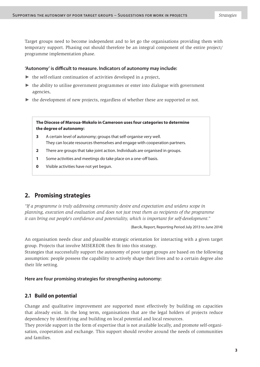Target groups need to become independent and to let go the organisations providing them with temporary support. Phasing out should therefore be an integral component of the entire project/ programme implementation phase.

## **'Autonomy' is difficult to measure. Indicators of autonomy may include:**

- $\triangleright$  the self-reliant continuation of activities developed in a project,
- $\triangleright$  the ability to utilise government programmes or enter into dialogue with government agencies,
- ► the development of new projects, regardless of whether these are supported or not.

**The Diocese of Maroua-Mokolo in Cameroon uses four categories to determine the degree of autonomy:**

- **3** A certain level of autonomy; groups that self-organise very well. They can locate resources themselves and engage with cooperation partners.
- **2** There are groups that take joint action. Individuals are organised in groups.
- **1** Some activities and meetings do take place on a one-off basis.
- **0** Visible activities have not yet begun.

# **2. Promising strategies**

*"If a programme is truly addressing community desire and expectation and widens scope in planning, execution and evaluation and does not just treat them as recipients of the programme it can bring out people's confidence and potentiality, which is important for self-development."*

(Barcik, Report, Reporting Period July 2013 to June 2014)

An organisation needs clear and plausible strategic orientation for interacting with a given target group. Projects that involve MISEREOR then fit into this strategy.

Strategies that successfully support the autonomy of poor target groups are based on the following assumption: people possess the capability to actively shape their lives and to a certain degree also their life setting.

# **Here are four promising strategies for strengthening autonomy:**

# **2.1 Build on potential**

Change and qualitative improvement are supported most effectively by building on capacities that already exist. In the long term, organisations that are the legal holders of projects reduce dependency by identifying and building on local potential and local resources.

They provide support in the form of expertise that is not available locally, and promote self-organisation, cooperation and exchange. This support should revolve around the needs of communities and families.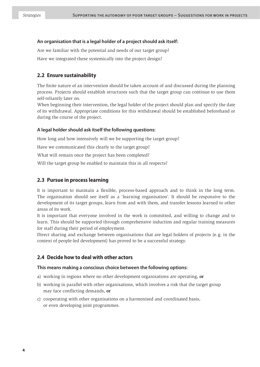# **An organisation that is a legal holder of a project should ask itself:**

Are we familiar with the potential and needs of our target group? Have we integrated these systemically into the project design?

# **2.2 Ensure sustainability**

The finite nature of an intervention should be taken account of and discussed during the planning process. Projects should establish structures such that the target group can continue to use them self-reliantly later on.

When beginning their intervention, the legal holder of the project should plan and specify the date of its withdrawal. Appropriate conditions for this withdrawal should be established beforehand or during the course of the project.

# **A legal holder should ask itself the following questions:**

How long and how intensively will we be supporting the target group?

Have we communicated this clearly to the target group?

What will remain once the project has been completed?

Will the target group be enabled to maintain this in all respects?

# **2.3 Pursue in process learning**

It is important to maintain a flexible, process-based approach and to think in the long term. The organisation should see itself as a 'learning organisation'. It should be responsive to the development of its target groups, learn from and with them, and transfer lessons learned to other areas of its work.

It is important that everyone involved in the work is committed, and willing to change and to learn. This should be supported through comprehensive induction and regular training measures for staff during their period of employment.

Direct sharing and exchange between organisations that are legal holders of projects (e. g. in the context of people-led development) has proved to be a successful strategy.

# **2.4 Decide how to deal with other actors**

# **This means making a conscious choice between the following options:**

- a) working in regions where no other development organisations are operating, **or**
- b) working in parallel with other organisations, which involves a risk that the target group may face conflicting demands, **or**
- c) cooperating with other organisations on a harmonised and coordinated basis, or even developing joint programmes.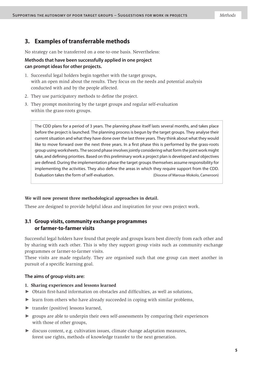# **3. Examples of transferrable methods**

No strategy can be transferred on a one-to-one basis. Nevertheless:

# **Methods that have been successfully applied in one project can prompt ideas for other projects.**

- 1. Successful legal holders begin together with the target groups, with an open mind about the results. They focus on the needs and potential analysis conducted with and by the people affected.
- 2. They use participatory methods to define the project.
- 3. They prompt monitoring by the target groups and regular self-evaluation within the grass-roots groups.

The CDD plans for a period of 3 years. The planning phase itself lasts several months, and takes place before the project is launched. The planning process is begun by the target groups. They analyse their current situation and what they have done over the last three years. They think about what they would like to move forward over the next three years. In a first phase this is performed by the grass-roots group using worksheets. The second phase involves jointly considering what form the joint work might take, and defining priorities. Based on this preliminary work a project plan is developed and objectives are defined. During the implementation phase the target groups themselves assume responsibility for implementing the activities. They also define the areas in which they require support from the CDD. Evaluation takes the form of self-evaluation. (Diocese of Maroua-Mokolo, Cameroon)

# **We will now present three methodological approaches in detail.**

These are designed to provide helpful ideas and inspiration for your own project work.

# **3.1 Group visits, community exchange programmes or farmer-to-farmer visits**

Successful legal holders have found that people and groups learn best directly from each other and by sharing with each other. This is why they support group visits such as community exchange programmes or farmer-to-farmer visits.

These visits are made regularly. They are organised such that one group can meet another in pursuit of a specific learning goal.

# **The aims of group visits are:**

#### **1. Sharing experiences and lessons learned**

- ► Obtain first-hand information on obstacles and difficulties, as well as solutions,
- ► learn from others who have already succeeded in coping with similar problems,
- ► transfer (positive) lessons learned,
- $\triangleright$  groups are able to underpin their own self-assessments by comparing their experiences with those of other groups,
- ► discuss content, e.g. cultivation issues, climate change adaptation measures, forest use rights, methods of knowledge transfer to the next generation.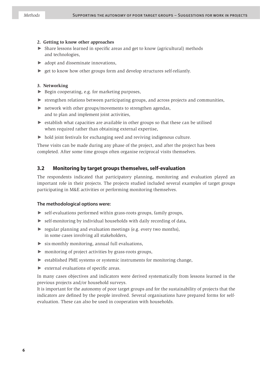#### **2. Getting to know other approaches**

- ► Share lessons learned in specific areas and get to know (agricultural) methods and technologies,
- $\triangleright$  adopt and disseminate innovations,
- $\triangleright$  get to know how other groups form and develop structures self-reliantly.

#### **3. Networking**

- ► Begin cooperating, e.g. for marketing purposes,
- ► strengthen relations between participating groups, and across projects and communities,
- $\triangleright$  network with other groups/movements to strengthen agendas, and to plan and implement joint activities,
- $\triangleright$  establish what capacities are available in other groups so that these can be utilised when required rather than obtaining external expertise,
- ► hold joint festivals for exchanging seed and reviving indigenous culture.

These visits can be made during any phase of the project, and after the project has been completed. After some time groups often organise reciprocal visits themselves.

# **3.2 Monitoring by target groups themselves, self-evaluation**

The respondents indicated that participatory planning, monitoring and evaluation played an important role in their projects. The projects studied included several examples of target groups participating in M&E activities or performing monitoring themselves.

#### **The methodological options were:**

- ► self-evaluations performed within grass-roots groups, family groups,
- ► self-monitoring by individual households with daily recording of data,
- ► regular planning and evaluation meetings (e.g. every two months), in some cases involving all stakeholders,
- $\triangleright$  six-monthly monitoring, annual full evaluations,
- ► monitoring of project activities by grass-roots groups,
- ► established PME systems or systemic instruments for monitoring change,
- ► external evaluations of specific areas.

In many cases objectives and indicators were derived systematically from lessons learned in the previous projects and/or household surveys.

It is important for the autonomy of poor target groups and for the sustainability of projects that the indicators are defined by the people involved. Several organisations have prepared forms for selfevaluation. These can also be used in cooperation with households.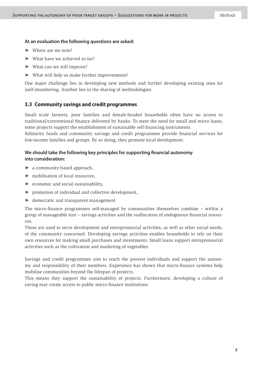#### **At an evaluation the following questions are asked:**

- ► Where are we now?
- $\blacktriangleright$  What have we achieved so far?
- ► What can we still improve?
- ► What will help us make further improvements?

One major challenge lies in developing new methods and further developing existing ones for (self-)monitoring. Another lies in the sharing of methodologies.

# **3.3 Community savings and credit programmes**

Small scale farmers, poor families and female-headed households often have no access to traditional/conventional finance delivered by banks. To meet the need for small and micro loans, some projects support the establishment of sustainable self-financing instruments.

Solidarity funds and community savings and credit programmes provide financial services for low-income families and groups. By so doing, they promote local development.

# **We should take the following key principles for supporting financial autonomy into consideration:**

- ► a community-based approach,
- ► mobilisation of local resources,
- $\triangleright$  economic and social sustainability,
- ► promotion of individual and collective development,
- ► democratic and transparent management.

The micro-finance programmes self-managed by communities themselves combine – within a group of manageable size – savings activities and the reallocation of endogenous financial resources.

These are used to serve development and entrepreneurial activities, as well as other social needs, of the community concerned. Developing savings activities enables households to rely on their own resources for making small purchases and investments. Small loans support entrepreneurial activities such as the cultivation and marketing of vegetables.

Savings and credit programmes aim to reach the poorest individuals and support the autonomy and responsibility of their members. Experience has shown that micro-finance systems help mobilise communities beyond the lifespan of projects.

This means they support the sustainability of projects. Furthermore, developing a culture of saving may create access to public micro-finance institutions.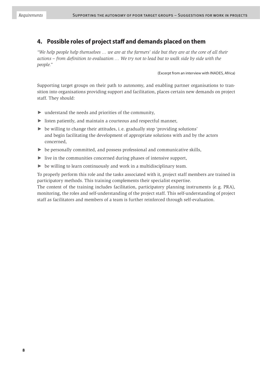# **4. Possible roles of project staff and demands placed on them**

*"We help people help themselves … we are at the farmers' side but they are at the core of all their actions – from definition to evaluation … We try not to lead but to walk side by side with the people."*

(Excerpt from an interview with INADES, Africa)

Supporting target groups on their path to autonomy, and enabling partner organisations to transition into organisations providing support and facilitation, places certain new demands on project staff. They should:

- $\triangleright$  understand the needs and priorities of the community,
- ► listen patiently, and maintain a courteous and respectful manner,
- $\triangleright$  be willing to change their attitudes, i.e. gradually stop 'providing solutions' and begin facilitating the development of appropriate solutions with and by the actors concerned,
- ► be personally committed, and possess professional and communicative skills,
- $\triangleright$  live in the communities concerned during phases of intensive support,
- $\triangleright$  be willing to learn continuously and work in a multidisciplinary team.

To properly perform this role and the tasks associated with it, project staff members are trained in participatory methods. This training complements their specialist expertise.

The content of the training includes facilitation, participatory planning instruments (e. g. PRA), monitoring, the roles and self-understanding of the project staff. This self-understanding of project staff as facilitators and members of a team is further reinforced through self-evaluation.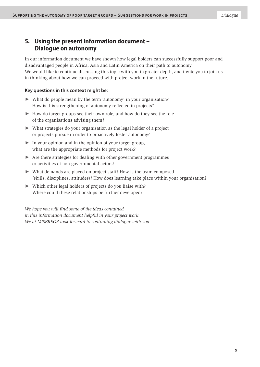# **5. Using the present information document – Dialogue on autonomy**

In our information document we have shown how legal holders can successfully support poor and disadvantaged people in Africa, Asia and Latin America on their path to autonomy. We would like to continue discussing this topic with you in greater depth, and invite you to join us in thinking about how we can proceed with project work in the future.

# **Key questions in this context might be:**

- ► What do people mean by the term 'autonomy' in your organisation? How is this strengthening of autonomy reflected in projects?
- ► How do target groups see their own role, and how do they see the role of the organisations advising them?
- ► What strategies do your organisation as the legal holder of a project or projects pursue in order to proactively foster autonomy?
- $\triangleright$  In your opinion and in the opinion of your target group, what are the appropriate methods for project work?
- ► Are there strategies for dealing with other government programmes or activities of non-governmental actors?
- ► What demands are placed on project staff? How is the team composed (skills, disciplines, attitudes)? How does learning take place within your organisation?
- ► Which other legal holders of projects do you liaise with? Where could these relationships be further developed?

*We hope you will find some of the ideas contained in this information document helpful in your project work. We at MISEREOR look forward to continuing dialogue with you.*